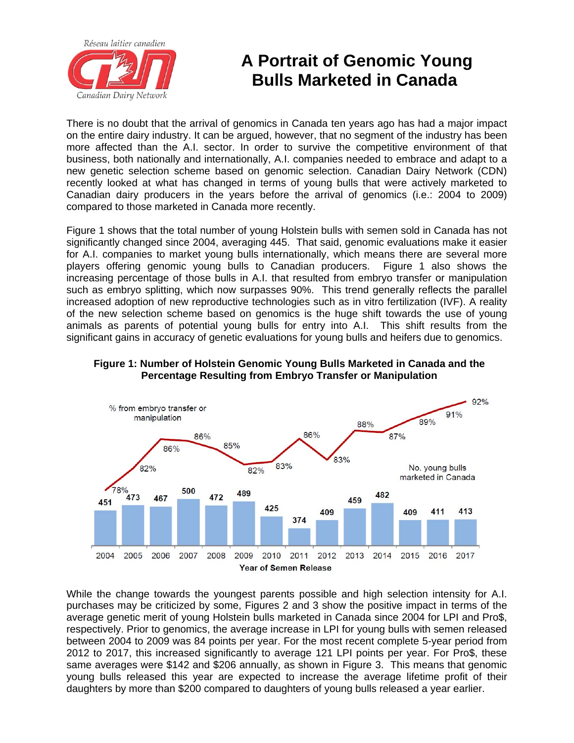

## **A Portrait of Genomic Young Bulls Marketed in Canada**

There is no doubt that the arrival of genomics in Canada ten years ago has had a major impact on the entire dairy industry. It can be argued, however, that no segment of the industry has been more affected than the A.I. sector. In order to survive the competitive environment of that business, both nationally and internationally, A.I. companies needed to embrace and adapt to a new genetic selection scheme based on genomic selection. Canadian Dairy Network (CDN) recently looked at what has changed in terms of young bulls that were actively marketed to Canadian dairy producers in the years before the arrival of genomics (i.e.: 2004 to 2009) compared to those marketed in Canada more recently.

Figure 1 shows that the total number of young Holstein bulls with semen sold in Canada has not significantly changed since 2004, averaging 445. That said, genomic evaluations make it easier for A.I. companies to market young bulls internationally, which means there are several more players offering genomic young bulls to Canadian producers. Figure 1 also shows the increasing percentage of those bulls in A.I. that resulted from embryo transfer or manipulation such as embryo splitting, which now surpasses 90%. This trend generally reflects the parallel increased adoption of new reproductive technologies such as in vitro fertilization (IVF). A reality of the new selection scheme based on genomics is the huge shift towards the use of young animals as parents of potential young bulls for entry into A.I. This shift results from the significant gains in accuracy of genetic evaluations for young bulls and heifers due to genomics.



## **Figure 1: Number of Holstein Genomic Young Bulls Marketed in Canada and the Percentage Resulting from Embryo Transfer or Manipulation**

While the change towards the youngest parents possible and high selection intensity for A.I. purchases may be criticized by some, Figures 2 and 3 show the positive impact in terms of the average genetic merit of young Holstein bulls marketed in Canada since 2004 for LPI and Pro\$, respectively. Prior to genomics, the average increase in LPI for young bulls with semen released between 2004 to 2009 was 84 points per year. For the most recent complete 5-year period from 2012 to 2017, this increased significantly to average 121 LPI points per year. For Pro\$, these same averages were \$142 and \$206 annually, as shown in Figure 3. This means that genomic young bulls released this year are expected to increase the average lifetime profit of their daughters by more than \$200 compared to daughters of young bulls released a year earlier.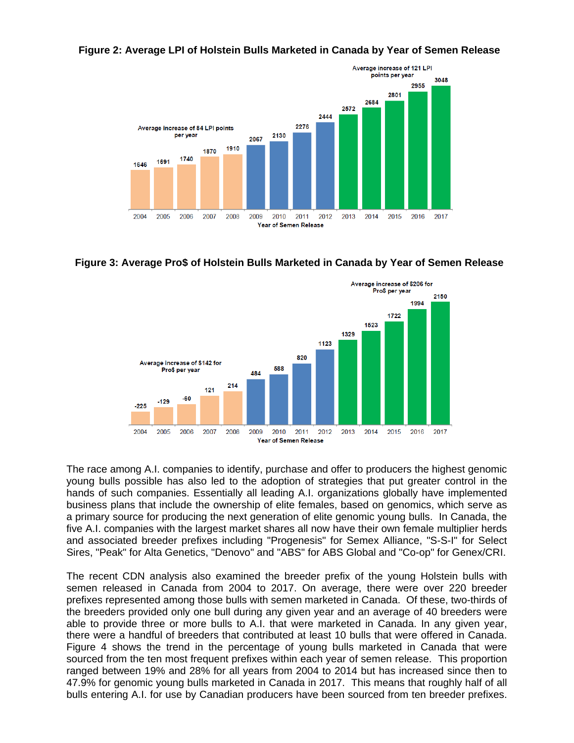**Figure 2: Average LPI of Holstein Bulls Marketed in Canada by Year of Semen Release** 



**Figure 3: Average Pro\$ of Holstein Bulls Marketed in Canada by Year of Semen Release** 



The race among A.I. companies to identify, purchase and offer to producers the highest genomic young bulls possible has also led to the adoption of strategies that put greater control in the hands of such companies. Essentially all leading A.I. organizations globally have implemented business plans that include the ownership of elite females, based on genomics, which serve as a primary source for producing the next generation of elite genomic young bulls. In Canada, the five A.I. companies with the largest market shares all now have their own female multiplier herds and associated breeder prefixes including "Progenesis" for Semex Alliance, "S-S-I" for Select Sires, "Peak" for Alta Genetics, "Denovo" and "ABS" for ABS Global and "Co-op" for Genex/CRI.

The recent CDN analysis also examined the breeder prefix of the young Holstein bulls with semen released in Canada from 2004 to 2017. On average, there were over 220 breeder prefixes represented among those bulls with semen marketed in Canada. Of these, two-thirds of the breeders provided only one bull during any given year and an average of 40 breeders were able to provide three or more bulls to A.I. that were marketed in Canada. In any given year, there were a handful of breeders that contributed at least 10 bulls that were offered in Canada. Figure 4 shows the trend in the percentage of young bulls marketed in Canada that were sourced from the ten most frequent prefixes within each year of semen release. This proportion ranged between 19% and 28% for all years from 2004 to 2014 but has increased since then to 47.9% for genomic young bulls marketed in Canada in 2017. This means that roughly half of all bulls entering A.I. for use by Canadian producers have been sourced from ten breeder prefixes.